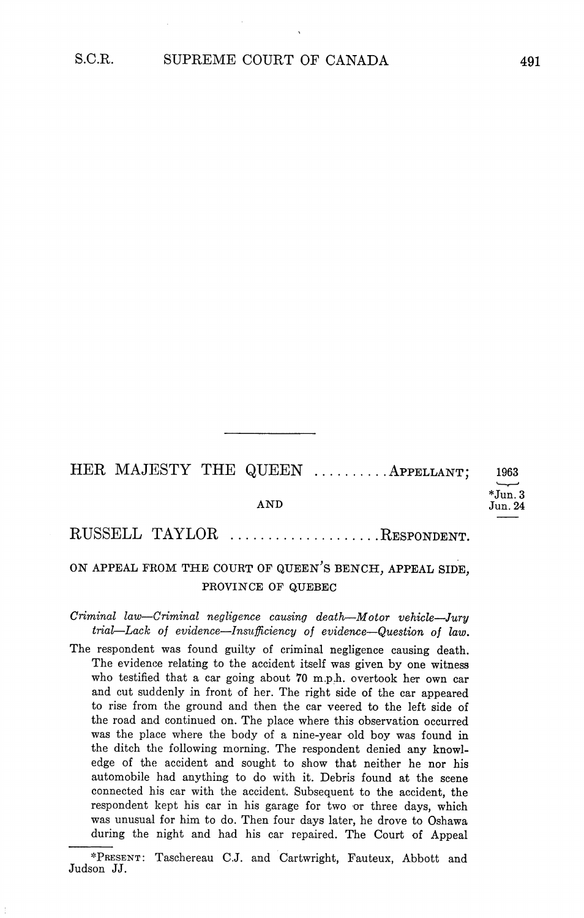HER MAJESTY THE QUEEN .........APPELLANT; 1963 \*Jun. 3<br>Jun. 24 AND Jun.2

## RUSSELL TAYLOR ..................RESPONDENT.

## ON APPEAL FROM THE COURT OF QUEEN'S BENCH, APPEAL SIDE, PROVINCE OF QUEBEC

 $Criminal$  law-Criminal negligence causing death-Motor vehicle-Jury trial-Lack of evidence-Insufficiency of evidence-Question of law.

The respondent was found guilty of criminal negligence causing death. The evidence relating to the accident itself was given by one witness who testified that a car going about 70 m.p.h. overtook her own car and cut suddenly in front of her. The right side of the car appeared to rise from the ground and then the car veered to the left side of the road and continued on The place where this observation occurred was the place where the body of a nine-year old boy was found in the ditch the following morning. The respondent denied any knowledge of the accident and sought to show that neither he nor his automobile had anything to do with it Debris found at the scene connected his car with the accident. Subsequent to the accident, the respondent kept his car in his garage for two or three days, which was unusual for him to do. Then four days later, he drove to Oshawa during the night and had his car repaired. The Court of Appeal

<sup>\*</sup>PRESENT: Taschereau C.J. and Cartwright, Fauteux, Abbott and Judson JJ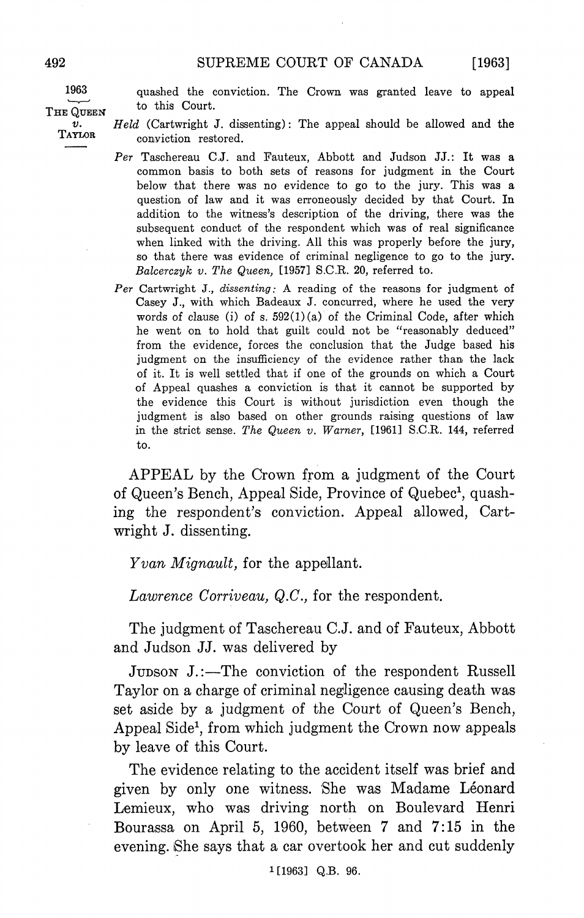$[1963]$ 

<sup>1963</sup> quashed the conviction The Crown was granted leave to appeal THE QUEEN to this Court.

 $Held$  (Cartwright J. dissenting): The appeal should be allowed and the  $\boldsymbol{v}$ . TAYLOR conviction restored.

- Per Taschereau C.J. and Fauteux, Abbott and Judson JJ.: It was a common basis to both sets of reasons for judgment in the Court below that there was no evidence to go to the jury. This was a question of law and it was erroneously decided by that Court. In addition to the witness's description of the driving, there was the subsequent conduct of the respondent which was of real significance when linked with the driving. All this was properly before the jury, so that there was evidence of criminal negligence to go to the jury Balcerczyk v. The Queen, [1957] S.C.R. 20, referred to.
- Per Cartwright J., dissenting: A reading of the reasons for judgment of Casey J., with which Badeaux J. concurred, where he used the very words of clause (i) of s.  $592(1)(a)$  of the Criminal Code, after which he went on to hold that guilt could not be "reasonably deduced" from the evidence, forces the conclusion that the Judge based his judgment on the insufficiency of the evidence rather than the lack of it. It is well settled that if one of the grounds on which a Court of Appeal quashes a conviction is that it cannot be supported by the evidence this Court is without jurisdiction even though the judgment is also based on other grounds raising questions of law in the strict sense. The Queen v. Warner,  $[1961]$  S.C.R. 144, referred to

APPEAL by the Crown from a judgment of the Court of Queen's Bench, Appeal Side, Province of Quebec<sup>1</sup>, quashing the respondent's conviction. Appeal allowed, Cartwright J. dissenting.

Yvan Mignault, for the appellant.

Lawrence Corriveau,  $Q.C.$ , for the respondent.

The judgment of Taschereau C.J. and of Fauteux, Abbott and Judson JJ. was delivered by

JUDSON J.:—The conviction of the respondent Russell Taylor on a charge of criminal negligence causing death was set aside by a judgment of the Court of Queen's Bench, Appeal Side<sup>1</sup>, from which judgment the Crown now appeals by leave of this Court

The evidence relating to the accident itself was brief and given by only one witness. She was Madame Léonard Lemieux, who was driving north on Boulevard Henri Bourassa on April 5, 1960, between  $7$  and  $7:15$  in the evening. She says that a car overtook her and cut suddenly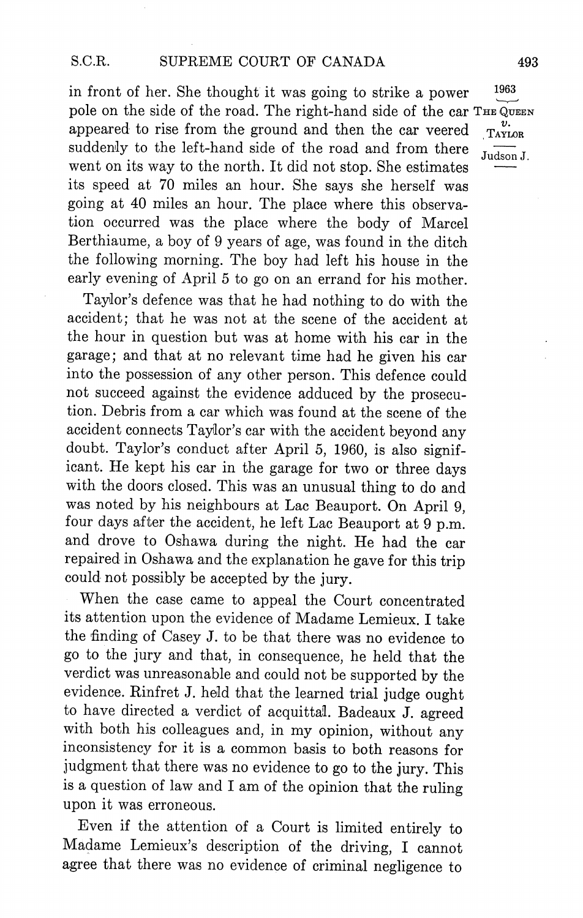in front of her. She thought it was going to strike a power pole on the side of the road. The right-hand side of the car THE QUEEN appeared to rise from the ground and then the car veered  $\frac{v}{\text{TAYLOR}}$ suddenly to the left-hand side of the road and from there  $J_{\text{udson }J}$ . went on its way to the north. It did not stop. She estimates its speed at <sup>70</sup> miles an hour She says she herself was going at 40 miles an hour. The place where this observation occurred was the place where the body of Marcel Berthiaume, a boy of 9 years of age, was found in the ditch the following morning. The boy had left his house in the early evening of April 5 to go on an errand for his mother.

Taylor's defence was that he had nothing to do with the accident; that he was not at the scene of the accident at the hour in question but was at home with his car in the garage; and that at no relevant time had he given his car into the possession of any other person. This defence could not succeed against the evidence adduced by the prosecu tion. Debris from a car which was found at the scene of the accident connects Taylor's car with the accident beyond any doubt. Taylor's conduct after April 5, 1960, is also significant. He kept his car in the garage for two or three days with the doors closed. This was an unusual thing to do and was noted by his neighbours at Lac Beauport. On April 9, four days after the accident, he left Lac Beauport at 9 p.m. and drove to Oshawa during the night. He had the car repaired in Oshawa and the explanation he gave for this trip could not possibly be accepted by the jury

When the case came to appeal the Court concentrated its attention upon the evidence of Madame Lemieux. I take the finding of Casey J. to be that there was no evidence to go to the jury and that in consequence he held that the verdict was unreasonable and could not be supported by the evidence. Rinfret J. held that the learned trial judge ought to have directed a verdict of acquittal. Badeaux J. agreed with both his colleagues and, in my opinion, without any inconsistency for it is common basis to both reasons for judgment that there was no evidence to go to the jury. This is a question of law and I am of the opinion that the ruling upon it was erroneous

Even if the attention of a Court is limited entirely to Madame Lemieux's description of the driving, I cannot agree that there was no evidence of criminal negligence to

1963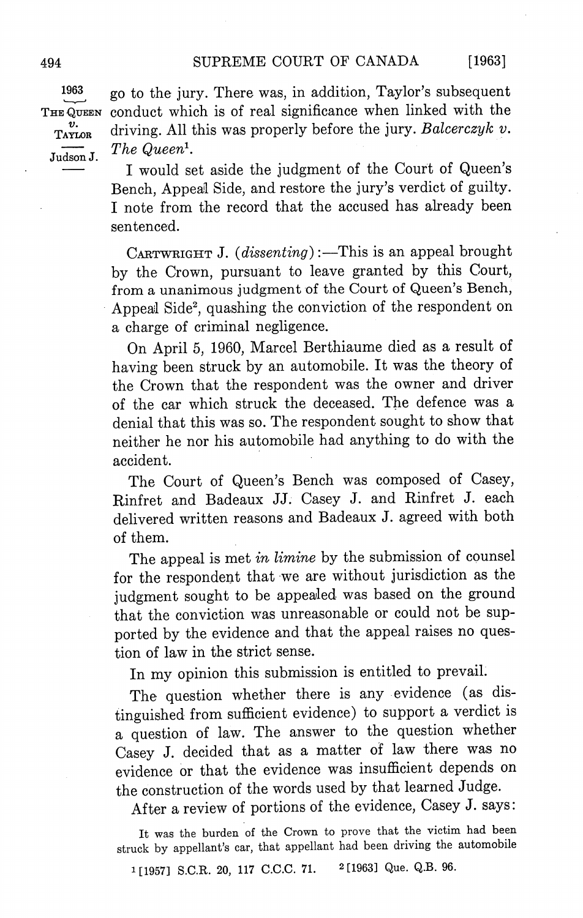1963 Judson J.

go to the jury. There was, in addition, Taylor's subsequent THE QUEEN conduct which is of real significance when linked with the  $v_{\text{Axi}}$  driving. All this was properly before the jury. Balcerczyk v. The Queen<sup>1</sup>.

> I would set aside the judgment of the Court of Queen's Bench, Appeal Side, and restore the jury's verdict of guilty. note from the record that the accused has already been sentenced

> CARTWRIGHT J. (dissenting):—This is an appeal brought by the Crown, pursuant to leave granted by this Court, from a unanimous judgment of the Court of Queen's Bench, Appeal Side<sup>2</sup>, quashing the conviction of the respondent on a charge of criminal negligence.

> On April 5, 1960, Marcel Berthiaume died as a result of having been struck by an automobile It was the theory of the Crown that the respondent was the owner and driver of the car which struck the deceased. The defence was a denial that this was so The respondent sought to show that neither he nor his automobile had anything to do with the accident

> The Court of Queen's Bench was composed of Casey, Rinfret and Badeaux JJ. Casey J. and Rinfret J. each delivered written reasons and Badeaux J. agreed with both of them

> The appeal is met in limine by the submission of counsel for the respondent that we are without jurisdiction as the judgment sought to be appealed was based on the ground that the conviction was unreasonable or could not be sup ported by the evidence and that the appeal raises no ques tion of law in the strict sense

In my opinion this submission is entitled to prevail.

The question whether there is any evidence (as distinguished from sufficient evidence) to support a verdict is a question of law. The answer to the question whether Casey J. decided that as a matter of law there was no evidence or that the evidence was insufficient depends on the construction of the words used by that learned Judge

After a review of portions of the evidence, Casey J. says:

It was the burden of the Crown to prove that the victim had been struck by appellant's car, that appellant had been driving the automobile

<sup>1</sup>[1957] S.C.R. 20, 117 C.C.C. 71. <sup>2</sup>[1963] Que. Q.B. 96.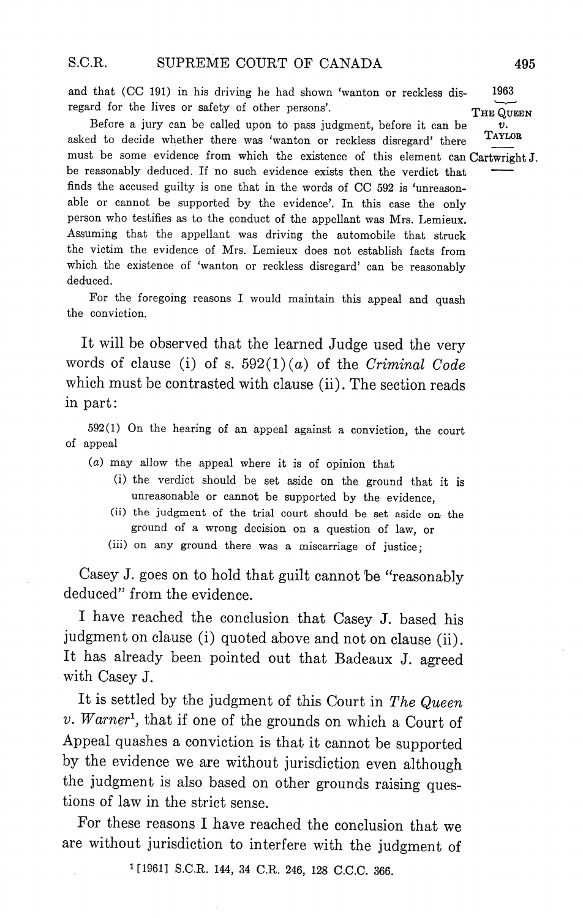and that (CC 191) in his driving he had shown 'wanton or reckless dis- 1963 regard for the lives or safety of other persons'. THE QUEEN

Before a jury can be called upon to pass judgment, before it can be asked to decide whether there was 'wanton or reckless disregard' there TAYLOR must be some evidence from which the existence of this element can Cartwright J. be reasonably deduced. If no such evidence exists then the verdict that finds the accused guilty is one that in the words of CC 592 is 'unreasonable or cannot be supported by the evidence'. In this case the only person who testifies as to the conduct of the appellant was Mrs Lemieux Assuming that the appellant was driving the automobile that struck the victim the evidence of Mrs. Lemieux does not establish facts from which the existence of 'wanton or reckless disregard' can be reasonably deduced

For the foregoing reasons I would maintain this appeal and quash the conviction

It will be observed that the learned Judge used the very words of clause (i) of s.  $592(1)(a)$  of the Criminal Code which must be contrasted with clause (ii). The section reads in part

 $592(1)$  On the hearing of an appeal against a conviction, the court of appeal

- may allow the appeal where it is of opinion that
	- (i) the verdict should be set aside on the ground that it is unreasonable or cannot be supported by the evidence
	- (ii) the judgment of the trial court should be set aside on the ground of a wrong decision on a question of law, or
	- (iii) on any ground there was a miscarriage of justice;

Casey J. goes on to hold that guilt cannot be "reasonably deduced" from the evidence.

have reached the conclusion that Casey J. based his deduced" from the evidence.<br>I have reached the conclusion that Casey J. based his<br>judgment on clause (i) quoted above and not on clause (ii).<br>It has already been pointed out that Badeaux J. agreed It has already been pointed out that Badeaux J. agreed with Casey J.

It is settled by the judgment of this Court in The Queen  $v.$  Warner<sup>1</sup>, that if one of the grounds on which a Court of Appeal quashes a conviction is that it cannot be supported by the evidence we are without jurisdiction even although the judgment is also based on other grounds raising ques tions of law in the strict sense

For these reasons I have reached the conclusion that we are without jurisdiction to interfere with the judgment of

<sup>1</sup>[1961] S.C.R. 144, 34 C.R. 246, 128 C.C.C. 366.

υ.